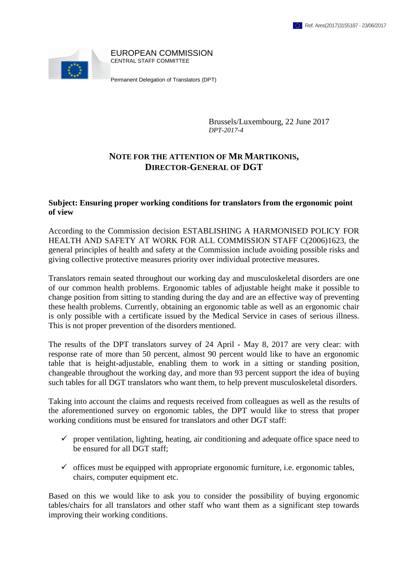

Brussels/Luxembourg, 22 June 2017 *DPT-2017-4*

## **NOTE FOR THE ATTENTION OF MR MARTIKONIS, DIRECTOR-GENERAL OF DGT**

## **Subject: Ensuring proper working conditions for translators from the ergonomic point of view**

According to the Commission decision ESTABLISHING A HARMONISED POLICY FOR HEALTH AND SAFETY AT WORK FOR ALL COMMISSION STAFF C(2006)1623, the general principles of health and safety at the Commission include avoiding possible risks and giving collective protective measures priority over individual protective measures.

Translators remain seated throughout our working day and musculoskeletal disorders are one of our common health problems. Ergonomic tables of adjustable height make it possible to change position from sitting to standing during the day and are an effective way of preventing these health problems. Currently, obtaining an ergonomic table as well as an ergonomic chair is only possible with a certificate issued by the Medical Service in cases of serious illness. This is not proper prevention of the disorders mentioned.

The results of the DPT translators survey of 24 April - May 8, 2017 are very clear: with response rate of more than 50 percent, almost 90 percent would like to have an ergonomic table that is height-adjustable, enabling them to work in a sitting or standing position, changeable throughout the working day, and more than 93 percent support the idea of buying such tables for all DGT translators who want them, to help prevent musculoskeletal disorders.

Taking into account the claims and requests received from colleagues as well as the results of the aforementioned survey on ergonomic tables, the DPT would like to stress that proper working conditions must be ensured for translators and other DGT staff:

- $\checkmark$  proper ventilation, lighting, heating, air conditioning and adequate office space need to be ensured for all DGT staff;
- $\checkmark$  offices must be equipped with appropriate ergonomic furniture, i.e. ergonomic tables, chairs, computer equipment etc.

Based on this we would like to ask you to consider the possibility of buying ergonomic tables/chairs for all translators and other staff who want them as a significant step towards improving their working conditions.